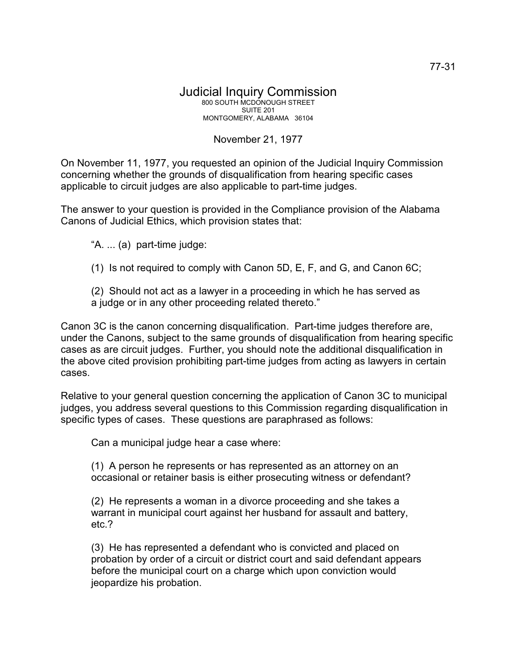## Judicial Inquiry Commission 800 SOUTH MCDONOUGH STREET SUITE 201 MONTGOMERY, ALABAMA 36104

## November 21, 1977

On November 11, 1977, you requested an opinion of the Judicial Inquiry Commission concerning whether the grounds of disqualification from hearing specific cases applicable to circuit judges are also applicable to part-time judges.

The answer to your question is provided in the Compliance provision of the Alabama Canons of Judicial Ethics, which provision states that:

"A. ... (a) part-time judge:

(1) Is not required to comply with Canon 5D, E, F, and G, and Canon 6C;

(2) Should not act as a lawyer in a proceeding in which he has served as a judge or in any other proceeding related thereto."

Canon 3C is the canon concerning disqualification. Part-time judges therefore are, under the Canons, subject to the same grounds of disqualification from hearing specific cases as are circuit judges. Further, you should note the additional disqualification in the above cited provision prohibiting part-time judges from acting as lawyers in certain cases.

Relative to your general question concerning the application of Canon 3C to municipal judges, you address several questions to this Commission regarding disqualification in specific types of cases. These questions are paraphrased as follows:

Can a municipal judge hear a case where:

(1) A person he represents or has represented as an attorney on an occasional or retainer basis is either prosecuting witness or defendant?

(2) He represents a woman in a divorce proceeding and she takes a warrant in municipal court against her husband for assault and battery, etc.?

(3) He has represented a defendant who is convicted and placed on probation by order of a circuit or district court and said defendant appears before the municipal court on a charge which upon conviction would jeopardize his probation.